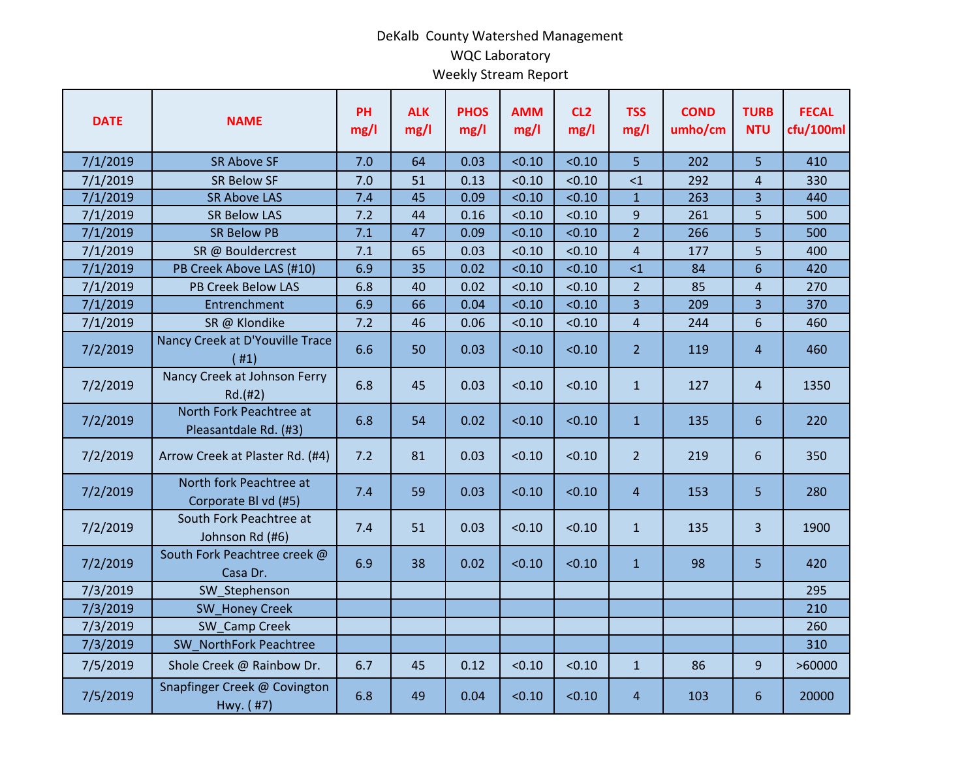## DeKalb County Watershed Management WQC Laboratory Weekly Stream Report

| <b>DATE</b> | <b>NAME</b>                                      | PH<br>mg/l | <b>ALK</b><br>mg/l | <b>PHOS</b><br>mg/l | <b>AMM</b><br>mg/l | CL <sub>2</sub><br>mg/l | <b>TSS</b><br>mg/l      | <b>COND</b><br>umho/cm | <b>TURB</b><br><b>NTU</b> | <b>FECAL</b><br>cfu/100ml |
|-------------|--------------------------------------------------|------------|--------------------|---------------------|--------------------|-------------------------|-------------------------|------------------------|---------------------------|---------------------------|
| 7/1/2019    | <b>SR Above SF</b>                               | 7.0        | 64                 | 0.03                | < 0.10             | < 0.10                  | 5                       | 202                    | 5                         | 410                       |
| 7/1/2019    | <b>SR Below SF</b>                               | 7.0        | 51                 | 0.13                | < 0.10             | < 0.10                  | <1                      | 292                    | $\overline{4}$            | 330                       |
| 7/1/2019    | <b>SR Above LAS</b>                              | 7.4        | 45                 | 0.09                | < 0.10             | < 0.10                  | $\mathbf{1}$            | 263                    | $\overline{3}$            | 440                       |
| 7/1/2019    | <b>SR Below LAS</b>                              | 7.2        | 44                 | 0.16                | < 0.10             | < 0.10                  | 9                       | 261                    | 5                         | 500                       |
| 7/1/2019    | <b>SR Below PB</b>                               | 7.1        | 47                 | 0.09                | < 0.10             | < 0.10                  | $\overline{2}$          | 266                    | 5                         | 500                       |
| 7/1/2019    | SR @ Bouldercrest                                | 7.1        | 65                 | 0.03                | < 0.10             | < 0.10                  | $\overline{\mathbf{4}}$ | 177                    | 5                         | 400                       |
| 7/1/2019    | PB Creek Above LAS (#10)                         | 6.9        | 35                 | 0.02                | < 0.10             | < 0.10                  | $<$ 1                   | 84                     | $6\phantom{1}$            | 420                       |
| 7/1/2019    | PB Creek Below LAS                               | 6.8        | 40                 | 0.02                | < 0.10             | < 0.10                  | $\overline{2}$          | 85                     | 4                         | 270                       |
| 7/1/2019    | Entrenchment                                     | 6.9        | 66                 | 0.04                | < 0.10             | < 0.10                  | 3                       | 209                    | $\overline{3}$            | 370                       |
| 7/1/2019    | SR @ Klondike                                    | 7.2        | 46                 | 0.06                | < 0.10             | < 0.10                  | 4                       | 244                    | 6                         | 460                       |
| 7/2/2019    | Nancy Creek at D'Youville Trace<br>(#1)          | 6.6        | 50                 | 0.03                | < 0.10             | < 0.10                  | $\overline{2}$          | 119                    | 4                         | 460                       |
| 7/2/2019    | Nancy Creek at Johnson Ferry<br>Rd.(#2)          | 6.8        | 45                 | 0.03                | < 0.10             | < 0.10                  | $\mathbf{1}$            | 127                    | $\overline{4}$            | 1350                      |
| 7/2/2019    | North Fork Peachtree at<br>Pleasantdale Rd. (#3) | 6.8        | 54                 | 0.02                | < 0.10             | < 0.10                  | $\mathbf{1}$            | 135                    | $6\phantom{1}$            | 220                       |
| 7/2/2019    | Arrow Creek at Plaster Rd. (#4)                  | 7.2        | 81                 | 0.03                | < 0.10             | < 0.10                  | $\overline{2}$          | 219                    | 6                         | 350                       |
| 7/2/2019    | North fork Peachtree at<br>Corporate Bl vd (#5)  | 7.4        | 59                 | 0.03                | < 0.10             | < 0.10                  | $\overline{4}$          | 153                    | 5                         | 280                       |
| 7/2/2019    | South Fork Peachtree at<br>Johnson Rd (#6)       | 7.4        | 51                 | 0.03                | < 0.10             | < 0.10                  | $\mathbf{1}$            | 135                    | $\overline{3}$            | 1900                      |
| 7/2/2019    | South Fork Peachtree creek @<br>Casa Dr.         | 6.9        | 38                 | 0.02                | < 0.10             | < 0.10                  | $\mathbf{1}$            | 98                     | 5                         | 420                       |
| 7/3/2019    | SW Stephenson                                    |            |                    |                     |                    |                         |                         |                        |                           | 295                       |
| 7/3/2019    | <b>SW Honey Creek</b>                            |            |                    |                     |                    |                         |                         |                        |                           | 210                       |
| 7/3/2019    | SW Camp Creek                                    |            |                    |                     |                    |                         |                         |                        |                           | 260                       |
| 7/3/2019    | SW NorthFork Peachtree                           |            |                    |                     |                    |                         |                         |                        |                           | 310                       |
| 7/5/2019    | Shole Creek @ Rainbow Dr.                        | 6.7        | 45                 | 0.12                | < 0.10             | < 0.10                  | $\mathbf{1}$            | 86                     | 9                         | >60000                    |
| 7/5/2019    | Snapfinger Creek @ Covington<br>Hwy. (#7)        | 6.8        | 49                 | 0.04                | < 0.10             | < 0.10                  | $\overline{4}$          | 103                    | 6                         | 20000                     |